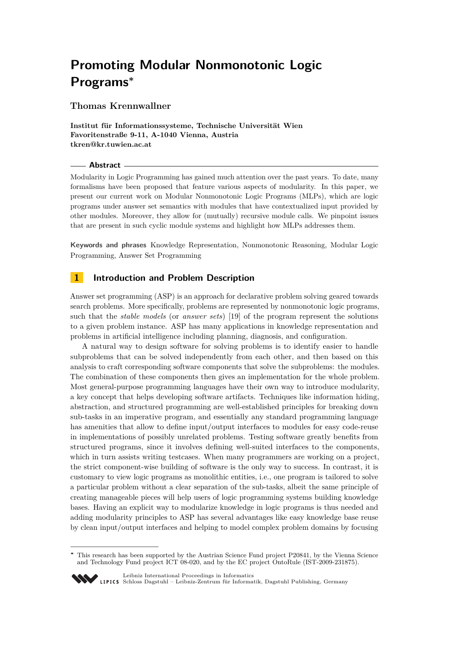# **Promoting Modular Nonmonotonic Logic Programs<sup>∗</sup>**

# **Thomas Krennwallner**

**Institut für Informationssysteme, Technische Universität Wien Favoritenstraße 9-11, A-1040 Vienna, Austria tkren@kr.tuwien.ac.at**

## **Abstract**

Modularity in Logic Programming has gained much attention over the past years. To date, many formalisms have been proposed that feature various aspects of modularity. In this paper, we present our current work on Modular Nonmonotonic Logic Programs (MLPs), which are logic programs under answer set semantics with modules that have contextualized input provided by other modules. Moreover, they allow for (mutually) recursive module calls. We pinpoint issues that are present in such cyclic module systems and highlight how MLPs addresses them.

**Keywords and phrases** Knowledge Representation, Nonmonotonic Reasoning, Modular Logic Programming, Answer Set Programming

# **1 Introduction and Problem Description**

Answer set programming (ASP) is an approach for declarative problem solving geared towards search problems. More specifically, problems are represented by nonmonotonic logic programs, such that the *stable models* (or *answer sets*) [\[19\]](#page-5-0) of the program represent the solutions to a given problem instance. ASP has many applications in knowledge representation and problems in artificial intelligence including planning, diagnosis, and configuration.

A natural way to design software for solving problems is to identify easier to handle subproblems that can be solved independently from each other, and then based on this analysis to craft corresponding software components that solve the subproblems: the modules. The combination of these components then gives an implementation for the whole problem. Most general-purpose programming languages have their own way to introduce modularity, a key concept that helps developing software artifacts. Techniques like information hiding, abstraction, and structured programming are well-established principles for breaking down sub-tasks in an imperative program, and essentially any standard programming language has amenities that allow to define input/output interfaces to modules for easy code-reuse in implementations of possibly unrelated problems. Testing software greatly benefits from structured programs, since it involves defining well-suited interfaces to the components, which in turn assists writing testcases. When many programmers are working on a project, the strict component-wise building of software is the only way to success. In contrast, it is customary to view logic programs as monolithic entities, i.e., one program is tailored to solve a particular problem without a clear separation of the sub-tasks, albeit the same principle of creating manageable pieces will help users of logic programming systems building knowledge bases. Having an explicit way to modularize knowledge in logic programs is thus needed and adding modularity principles to ASP has several advantages like easy knowledge base reuse by clean input/output interfaces and helping to model complex problem domains by focusing

**<sup>∗</sup>** This research has been supported by the Austrian Science Fund project P20841, by the Vienna Science and Technology Fund project ICT 08-020, and by the EC project OntoRule (IST-2009-231875).



[Leibniz International Proceedings in Informatics](http://www.dagstuhl.de/lipics/)

[Schloss Dagstuhl – Leibniz-Zentrum für Informatik, Dagstuhl Publishing, Germany](http://www.dagstuhl.de)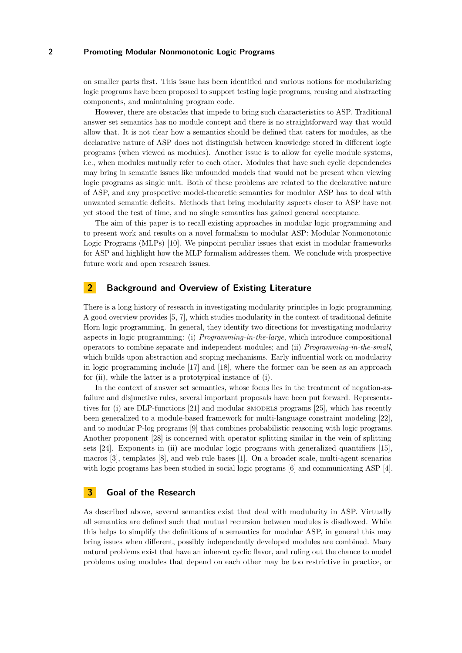### **2 Promoting Modular Nonmonotonic Logic Programs**

on smaller parts first. This issue has been identified and various notions for modularizing logic programs have been proposed to support testing logic programs, reusing and abstracting components, and maintaining program code.

However, there are obstacles that impede to bring such characteristics to ASP. Traditional answer set semantics has no module concept and there is no straightforward way that would allow that. It is not clear how a semantics should be defined that caters for modules, as the declarative nature of ASP does not distinguish between knowledge stored in different logic programs (when viewed as modules). Another issue is to allow for cyclic module systems, i.e., when modules mutually refer to each other. Modules that have such cyclic dependencies may bring in semantic issues like unfounded models that would not be present when viewing logic programs as single unit. Both of these problems are related to the declarative nature of ASP, and any prospective model-theoretic semantics for modular ASP has to deal with unwanted semantic deficits. Methods that bring modularity aspects closer to ASP have not yet stood the test of time, and no single semantics has gained general acceptance.

The aim of this paper is to recall existing approaches in modular logic programming and to present work and results on a novel formalism to modular ASP: Modular Nonmonotonic Logic Programs (MLPs) [\[10\]](#page-5-1). We pinpoint peculiar issues that exist in modular frameworks for ASP and highlight how the MLP formalism addresses them. We conclude with prospective future work and open research issues.

# **2 Background and Overview of Existing Literature**

<span id="page-1-1"></span><span id="page-1-0"></span>There is a long history of research in investigating modularity principles in logic programming. A good overview provides [\[5,](#page-4-0) [7\]](#page-5-2), which studies modularity in the context of traditional definite Horn logic programming. In general, they identify two directions for investigating modularity aspects in logic programming: (i) *Programming-in-the-large*, which introduce compositional operators to combine separate and independent modules; and (ii) *Programming-in-the-small*, which builds upon abstraction and scoping mechanisms. Early influential work on modularity in logic programming include [\[17\]](#page-5-3) and [\[18\]](#page-5-4), where the former can be seen as an approach for [\(ii\)](#page-1-0), while the latter is a prototypical instance of [\(i\)](#page-1-1).

In the context of answer set semantics, whose focus lies in the treatment of negation-asfailure and disjunctive rules, several important proposals have been put forward. Representatives for [\(i\)](#page-1-1) are DLP-functions [\[21\]](#page-5-5) and modular smodels programs [\[25\]](#page-5-6), which has recently been generalized to a module-based framework for multi-language constraint modeling [\[22\]](#page-5-7), and to modular P-log programs [\[9\]](#page-5-8) that combines probabilistic reasoning with logic programs. Another proponent [\[28\]](#page-5-9) is concerned with operator splitting similar in the vein of splitting sets [\[24\]](#page-5-10). Exponents in [\(ii\)](#page-1-0) are modular logic programs with generalized quantifiers [\[15\]](#page-5-11), macros [\[3\]](#page-4-1), templates [\[8\]](#page-5-12), and web rule bases [\[1\]](#page-4-2). On a broader scale, multi-agent scenarios with logic programs has been studied in social logic programs [\[6\]](#page-5-13) and communicating ASP [\[4\]](#page-4-3).

# **3 Goal of the Research**

As described above, several semantics exist that deal with modularity in ASP. Virtually all semantics are defined such that mutual recursion between modules is disallowed. While this helps to simplify the definitions of a semantics for modular ASP, in general this may bring issues when different, possibly independently developed modules are combined. Many natural problems exist that have an inherent cyclic flavor, and ruling out the chance to model problems using modules that depend on each other may be too restrictive in practice, or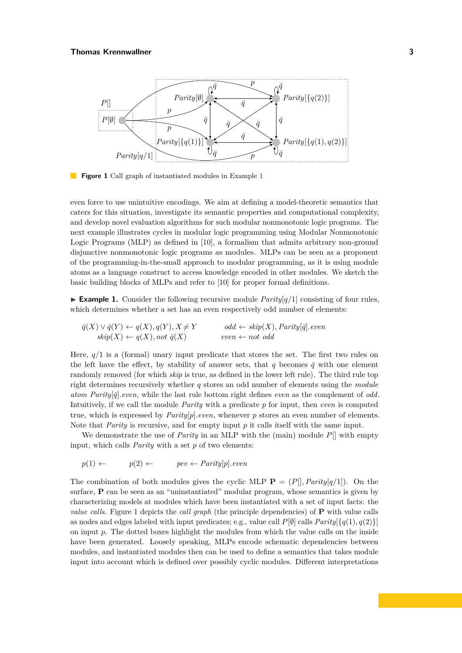<span id="page-2-1"></span>

**Figure [1](#page-2-0)** Call graph of instantiated modules in Example 1

even force to use unintuitive encodings. We aim at defining a model-theoretic semantics that caters for this situation, investigate its semantic properties and computational complexity, and develop novel evaluation algorithms for such modular nonmonotonic logic programs. The next example illustrates cycles in modular logic programming using Modular Nonmonotonic Logic Programs (MLP) as defined in [\[10\]](#page-5-1), a formalism that admits arbitrary non-ground disjunctive nonmonotonic logic programs as modules. MLPs can be seen as a proponent of the programming-in-the-small approach to modular programming, as it is using module atoms as a language construct to access knowledge encoded in other modules. We sketch the basic building blocks of MLPs and refer to [\[10\]](#page-5-1) for proper formal definitions.

<span id="page-2-0"></span>**Example 1.** Consider the following recursive module  $Parity[q/1]$  consisting of four rules, which determines whether a set has an even respectively odd number of elements:

$$
\overline{q}(X) \lor \overline{q}(Y) \leftarrow q(X), q(Y), X \neq Y \qquad \text{odd} \leftarrow skip(X), Parity[\overline{q}].even
$$
\n
$$
skip(X) \leftarrow q(X), not \overline{q}(X) \qquad \text{even} \leftarrow not \text{ odd}
$$

Here, *q/*1 is a (formal) unary input predicate that stores the set. The first two rules on the left have the effect, by stability of answer sets, that  $q$  becomes  $\bar{q}$  with one element randomly removed (for which *skip* is true, as defined in the lower left rule). The third rule top right determines recursively whether *q* stores an odd number of elements using the *module atom Parity* $[\bar{q}]$ *.even*, while the last rule bottom right defines *even* as the complement of *odd*. Intuitively, if we call the module *Parity* with a predicate *p* for input, then *even* is computed true, which is expressed by *Parity*[*p*]*.even*, whenever *p* stores an even number of elements. Note that *Parity* is recursive, and for empty input *p* it calls itself with the same input.

We demonstrate the use of *Parity* in an MLP with the (main) module *P*[] with empty input, which calls *Parity* with a set *p* of two elements:

$$
p(1) \leftarrow p(2) \leftarrow pev \leftarrow Parity[p].even
$$

The combination of both modules gives the cyclic MLP  $\mathbf{P} = (P[|, Parity|q/1])$ . On the surface, **P** can be seen as an "uninstantiated" modular program, whose semantics is given by characterizing models at modules which have been instantiated with a set of input facts: the *value calls*. Figure [1](#page-2-1) depicts the *call graph* (the principle dependencies) of **P** with value calls as nodes and edges labeled with input predicates; e.g., value call  $P[\emptyset]$  calls  $Parity[\{q(1), q(2)\}]$ on input *p*. The dotted boxes highlight the modules from which the value calls on the inside have been generated. Loosely speaking, MLPs encode schematic dependencies between modules, and instantiated modules then can be used to define a semantics that takes module input into account which is defined over possibly cyclic modules. Different interpretations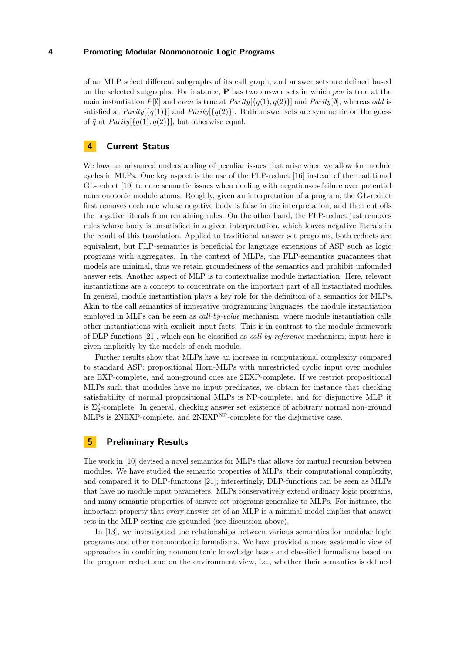#### **4 Promoting Modular Nonmonotonic Logic Programs**

of an MLP select different subgraphs of its call graph, and answer sets are defined based on the selected subgraphs. For instance, **P** has two answer sets in which *pev* is true at the main instantiation  $P[\emptyset]$  and *even* is true at  $Parity[\{q(1), q(2)\}]$  and  $Parity[\emptyset]$ , whereas *odd* is satisfied at *Parity* $\{q(1)\}\$  and *Parity* $\{q(2)\}\$ . Both answer sets are symmetric on the guess of  $\bar{q}$  at *Parity*[{ $q(1), q(2)$ }], but otherwise equal.

## **4 Current Status**

We have an advanced understanding of peculiar issues that arise when we allow for module cycles in MLPs. One key aspect is the use of the FLP-reduct [\[16\]](#page-5-14) instead of the traditional GL-reduct [\[19\]](#page-5-0) to cure semantic issues when dealing with negation-as-failure over potential nonmonotonic module atoms. Roughly, given an interpretation of a program, the GL-reduct first removes each rule whose negative body is false in the interpretation, and then cut offs the negative literals from remaining rules. On the other hand, the FLP-reduct just removes rules whose body is unsatisfied in a given interpretation, which leaves negative literals in the result of this translation. Applied to traditional answer set programs, both reducts are equivalent, but FLP-semantics is beneficial for language extensions of ASP such as logic programs with aggregates. In the context of MLPs, the FLP-semantics guarantees that models are minimal, thus we retain groundedness of the semantics and prohibit unfounded answer sets. Another aspect of MLP is to contextualize module instantiation. Here, relevant instantiations are a concept to concentrate on the important part of all instantiated modules. In general, module instantiation plays a key role for the definition of a semantics for MLPs. Akin to the call semantics of imperative programming languages, the module instantiation employed in MLPs can be seen as *call-by-value* mechanism, where module instantiation calls other instantiations with explicit input facts. This is in contrast to the module framework of DLP-functions [\[21\]](#page-5-5), which can be classified as *call-by-reference* mechanism; input here is given implicitly by the models of each module.

Further results show that MLPs have an increase in computational complexity compared to standard ASP: propositional Horn-MLPs with unrestricted cyclic input over modules are EXP-complete, and non-ground ones are 2EXP-complete. If we restrict propositional MLPs such that modules have no input predicates, we obtain for instance that checking satisfiability of normal propositional MLPs is NP-complete, and for disjunctive MLP it is  $\Sigma_2^p$ -complete. In general, checking answer set existence of arbitrary normal non-ground MLPs is 2NEXP-complete, and 2NEXPNP-complete for the disjunctive case.

## **5 Preliminary Results**

The work in [\[10\]](#page-5-1) devised a novel semantics for MLPs that allows for mutual recursion between modules. We have studied the semantic properties of MLPs, their computational complexity, and compared it to DLP-functions [\[21\]](#page-5-5); interestingly, DLP-functions can be seen as MLPs that have no module input parameters. MLPs conservatively extend ordinary logic programs, and many semantic properties of answer set programs generalize to MLPs. For instance, the important property that every answer set of an MLP is a minimal model implies that answer sets in the MLP setting are grounded (see discussion above).

In [\[13\]](#page-5-15), we investigated the relationships between various semantics for modular logic programs and other nonmonotonic formalisms. We have provided a more systematic view of approaches in combining nonmonotonic knowledge bases and classified formalisms based on the program reduct and on the environment view, i.e., whether their semantics is defined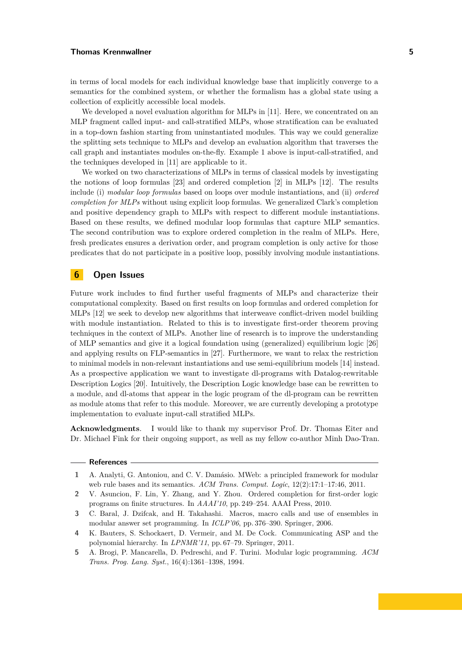#### **Thomas Krennwallner 5**

in terms of local models for each individual knowledge base that implicitly converge to a semantics for the combined system, or whether the formalism has a global state using a collection of explicitly accessible local models.

We developed a novel evaluation algorithm for MLPs in [\[11\]](#page-5-16). Here, we concentrated on an MLP fragment called input- and call-stratified MLPs, whose stratification can be evaluated in a top-down fashion starting from uninstantiated modules. This way we could generalize the splitting sets technique to MLPs and develop an evaluation algorithm that traverses the call graph and instantiates modules on-the-fly. Example [1](#page-2-0) above is input-call-stratified, and the techniques developed in [\[11\]](#page-5-16) are applicable to it.

We worked on two characterizations of MLPs in terms of classical models by investigating the notions of loop formulas [\[23\]](#page-5-17) and ordered completion [\[2\]](#page-4-4) in MLPs [\[12\]](#page-5-18). The results include (i) *modular loop formulas* based on loops over module instantiations, and (ii) *ordered completion for MLPs* without using explicit loop formulas. We generalized Clark's completion and positive dependency graph to MLPs with respect to different module instantiations. Based on these results, we defined modular loop formulas that capture MLP semantics. The second contribution was to explore ordered completion in the realm of MLPs. Here, fresh predicates ensures a derivation order, and program completion is only active for those predicates that do not participate in a positive loop, possibly involving module instantiations.

# **6 Open Issues**

Future work includes to find further useful fragments of MLPs and characterize their computational complexity. Based on first results on loop formulas and ordered completion for MLPs [\[12\]](#page-5-18) we seek to develop new algorithms that interweave conflict-driven model building with module instantiation. Related to this is to investigate first-order theorem proving techniques in the context of MLPs. Another line of research is to improve the understanding of MLP semantics and give it a logical foundation using (generalized) equilibrium logic [\[26\]](#page-5-19) and applying results on FLP-semantics in [\[27\]](#page-5-20). Furthermore, we want to relax the restriction to minimal models in non-relevant instantiations and use semi-equilibrium models [\[14\]](#page-5-21) instead. As a prospective application we want to investigate dl-programs with Datalog-rewritable Description Logics [\[20\]](#page-5-22). Intuitively, the Description Logic knowledge base can be rewritten to a module, and dl-atoms that appear in the logic program of the dl-program can be rewritten as module atoms that refer to this module. Moreover, we are currently developing a prototype implementation to evaluate input-call stratified MLPs.

**Acknowledgments**. I would like to thank my supervisor Prof. Dr. Thomas Eiter and Dr. Michael Fink for their ongoing support, as well as my fellow co-author Minh Dao-Tran.

#### - References -

<span id="page-4-4"></span>**2** V. Asuncion, F. Lin, Y. Zhang, and Y. Zhou. Ordered completion for first-order logic programs on finite structures. In *AAAI'10*, pp. 249–254. AAAI Press, 2010.

<span id="page-4-3"></span>**4** K. Bauters, S. Schockaert, D. Vermeir, and M. De Cock. Communicating ASP and the polynomial hierarchy. In *LPNMR'11*, pp. 67–79. Springer, 2011.

<span id="page-4-2"></span>**<sup>1</sup>** A. Analyti, G. Antoniou, and C. V. Damásio. MWeb: a principled framework for modular web rule bases and its semantics. *ACM Trans. Comput. Logic*, 12(2):17:1–17:46, 2011.

<span id="page-4-1"></span>**<sup>3</sup>** C. Baral, J. Dzifcak, and H. Takahashi. Macros, macro calls and use of ensembles in modular answer set programming. In *ICLP'06*, pp. 376–390. Springer, 2006.

<span id="page-4-0"></span>**<sup>5</sup>** A. Brogi, P. Mancarella, D. Pedreschi, and F. Turini. Modular logic programming. *ACM Trans. Prog. Lang. Syst.*, 16(4):1361–1398, 1994.